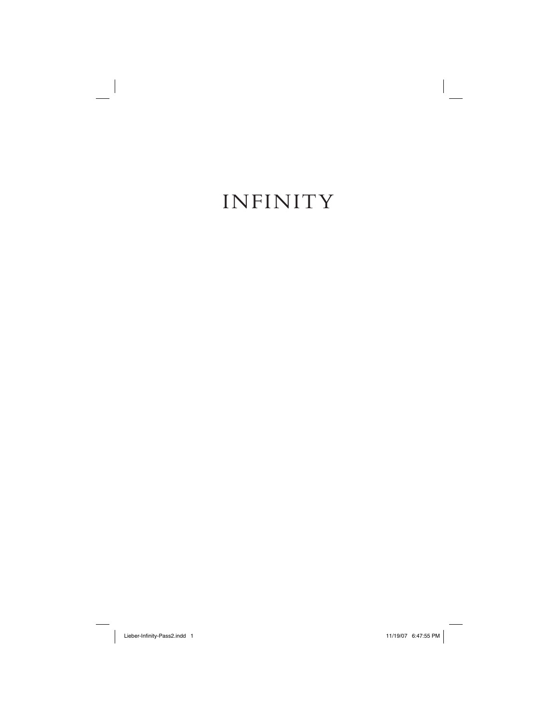# INFINITY

 $\mathbb{R}^{\mathbb{N}}$ 

Lieber-Infinity-Pass2.indd 1 intervalsed 1 intervalsed 1 intervalsed 1 intervalsed 1 intervalsed 1 intervalsed  $\overline{11/19/07}$  6:47:55 PM  $\overline{)$ 

 $\| \cdot \|$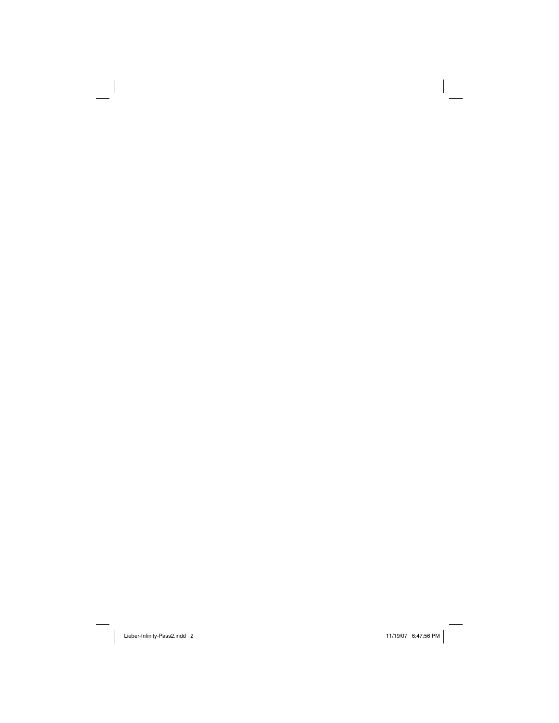$\mathbb{R}^{\mathbb{N}}$ 

——<br>
Lieber-Infinity-Pass2.indd 2 ieber-Infinity-Pass2.indd 2 ieber-Infinity-Pass2.indd 2 ieber-Infinity-Pass2.indd 2

 $\begin{array}{c} \rule{0pt}{2ex} \rule{0pt}{2ex} \rule{0pt}{2ex} \rule{0pt}{2ex} \rule{0pt}{2ex} \rule{0pt}{2ex} \rule{0pt}{2ex} \rule{0pt}{2ex} \rule{0pt}{2ex} \rule{0pt}{2ex} \rule{0pt}{2ex} \rule{0pt}{2ex} \rule{0pt}{2ex} \rule{0pt}{2ex} \rule{0pt}{2ex} \rule{0pt}{2ex} \rule{0pt}{2ex} \rule{0pt}{2ex} \rule{0pt}{2ex} \rule{0pt}{2ex} \rule{0pt}{2ex} \rule{0pt}{2ex} \rule{0pt}{2ex} \rule{0pt}{$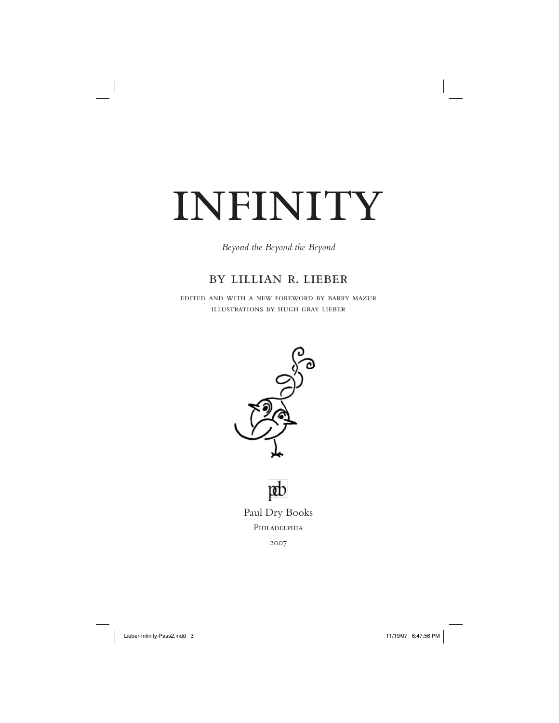# INFINITY

*Beyond the Beyond the Beyond*

### by lillian r. lieber

edited and with a new foreword by barry mazur illustrations by hugh gray lieber



PHILADELPHIA 2007

Lieber-Infinity-Pass2.indd 3 ieber-Infinity-Pass2.indd 3 ieber-1nfinity-Pass2.indd 11/19/07 6:47:56 PM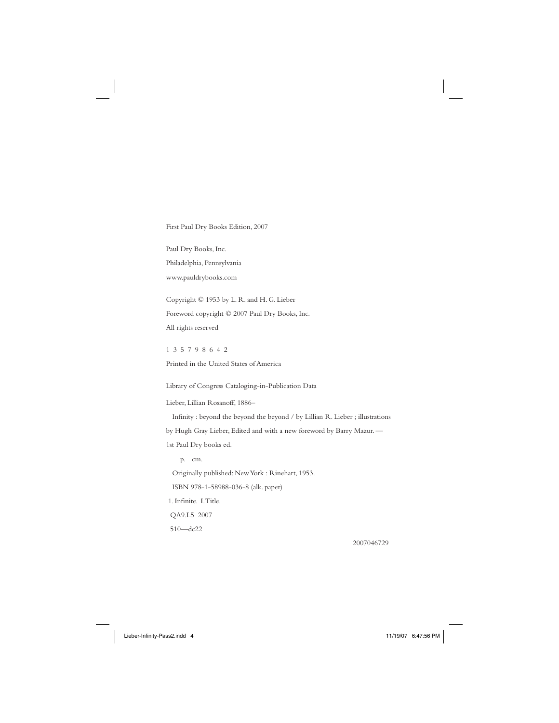First Paul Dry Books Edition, 2007

Paul Dry Books, Inc. Philadelphia, Pennsylvania www.pauldrybooks.com

Copyright © 1953 by L. R. and H. G. Lieber Foreword copyright © 2007 Paul Dry Books, Inc. All rights reserved

1 3 5 7 9 8 6 4 2

Printed in the United States of America

Library of Congress Cataloging-in-Publication Data

Lieber, Lillian Rosanoff, 1886–

Infinity : beyond the beyond the beyond / by Lillian R. Lieber ; illustrations

by Hugh Gray Lieber, Edited and with a new foreword by Barry Mazur. — 1st Paul Dry books ed.

 p. cm. Originally published: New York : Rinehart, 1953. ISBN 978-1-58988-036-8 (alk. paper) 1. Infinite. I. Title. QA9.L5 2007 510—dc22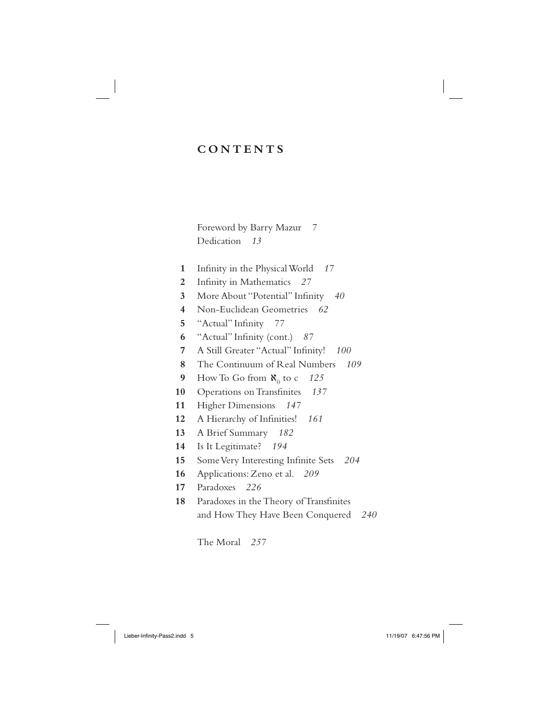#### **CONTENTS**

 Foreword by Barry Mazur *7* Dedication *13*

- **1** Infinity in the Physical World 17
- **2** Infinity in Mathematics 27
- **3** More About "Potential" Infinity 40
- **4** Non-Euclidean Geometries *62*
- **5** "Actual" Infinity 77
- **6** "Actual" Infinity (cont.) 87
- 7 A Still Greater "Actual" Infinity! 100
- **8** The Continuum of Real Numbers *109*
- **9** How To Go from  $\mathbf{X}_0$  to c *125*<br>**10** Operations on Transfinites *137*
- Operations on Transfinites 137
- **11** Higher Dimensions *147*
- 12 A Hierarchy of Infinities! 161
- **13** A Brief Summary *182*
- **14** Is It Legitimate? *194*
- 15 Some Very Interesting Infinite Sets 204
- **16** Applications: Zeno et al. *209*
- **17** Paradoxes *226*
- 18 Paradoxes in the Theory of Transfinites and How They Have Been Conquered *240*

The Moral *257*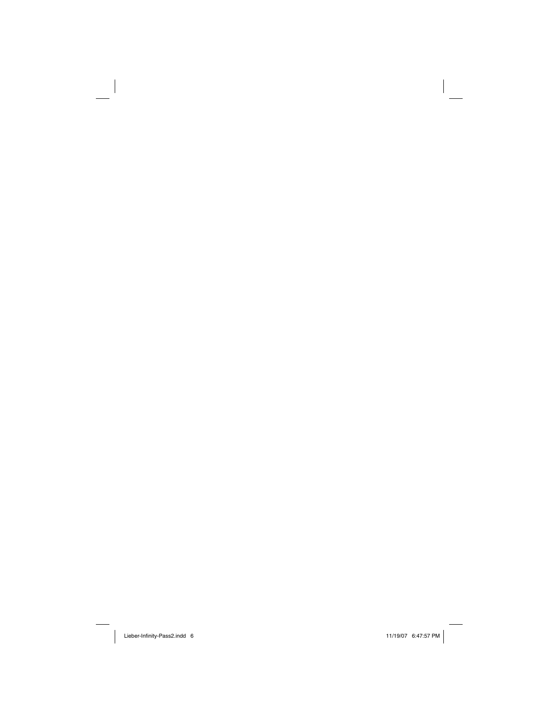Lieber-Infinity-Pass2.indd 6 ieber-Infinity-Pass2.indd 11/19/07 6:47:57 PM 1/19/07

 $\frac{1}{2}$ 

 $\| \cdot \|$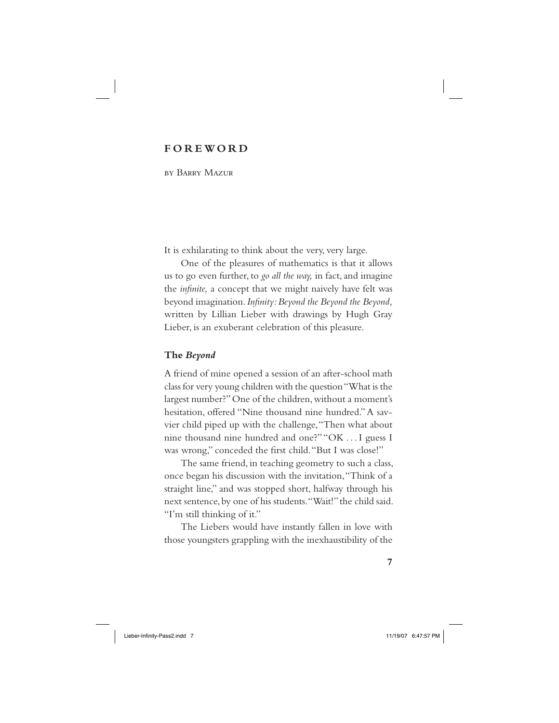#### **FOREWORD**

by Barry Mazur

It is exhilarating to think about the very, very large.

 One of the pleasures of mathematics is that it allows us to go even further, to *go all the way,* in fact, and imagine the *infinite*, a concept that we might naively have felt was beyond imagination. *Infinity: Beyond the Beyond the Beyond*, written by Lillian Lieber with drawings by Hugh Gray Lieber, is an exuberant celebration of this pleasure.

#### **The** *Beyond*

A friend of mine opened a session of an after-school math class for very young children with the question "What is the largest number?" One of the children, without a moment's hesitation, offered "Nine thousand nine hundred." A savvier child piped up with the challenge, "Then what about nine thousand nine hundred and one?" "OK . . . I guess I was wrong," conceded the first child. "But I was close!"

 The same friend, in teaching geometry to such a class, once began his discussion with the invitation, "Think of a straight line," and was stopped short, halfway through his next sentence, by one of his students. "Wait!" the child said. "I'm still thinking of it."

 The Liebers would have instantly fallen in love with those youngsters grappling with the inexhaustibility of the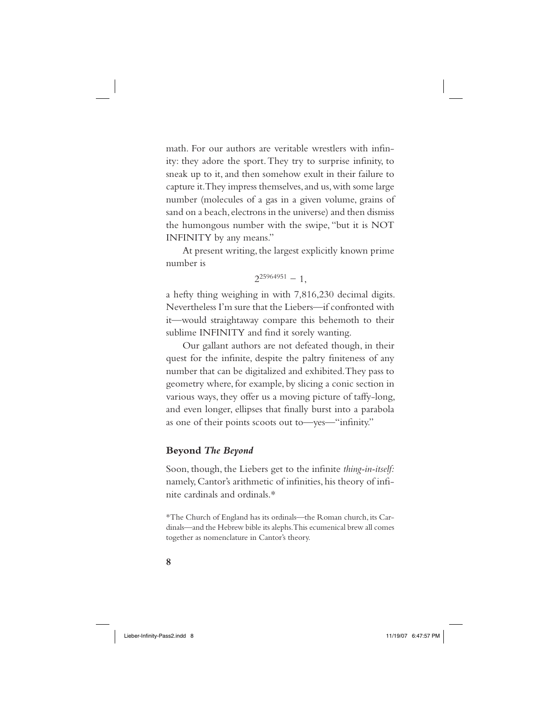math. For our authors are veritable wrestlers with infinity: they adore the sport. They try to surprise infinity, to sneak up to it, and then somehow exult in their failure to capture it. They impress themselves, and us, with some large number (molecules of a gas in a given volume, grains of sand on a beach, electrons in the universe) and then dismiss the humongous number with the swipe, "but it is NOT INFINITY by any means."

 At present writing, the largest explicitly known prime number is

 $2^{25964951} - 1$ 

a hefty thing weighing in with 7,816,230 decimal digits. Nevertheless I'm sure that the Liebers—if confronted with it—would straightaway compare this behemoth to their sublime INFINITY and find it sorely wanting.

 Our gallant authors are not defeated though, in their quest for the infinite, despite the paltry finiteness of any number that can be digitalized and exhibited. They pass to geometry where, for example, by slicing a conic section in various ways, they offer us a moving picture of taffy-long, and even longer, ellipses that finally burst into a parabola as one of their points scoots out to—yes—"infinity."

#### **Beyond** *The Beyond*

Soon, though, the Liebers get to the infinite *thing-in-itself:* namely, Cantor's arithmetic of infinities, his theory of infinite cardinals and ordinals.\*

\*The Church of England has its ordinals—the Roman church, its Cardinals—and the Hebrew bible its alephs. This ecumenical brew all comes together as nomenclature in Cantor's theory.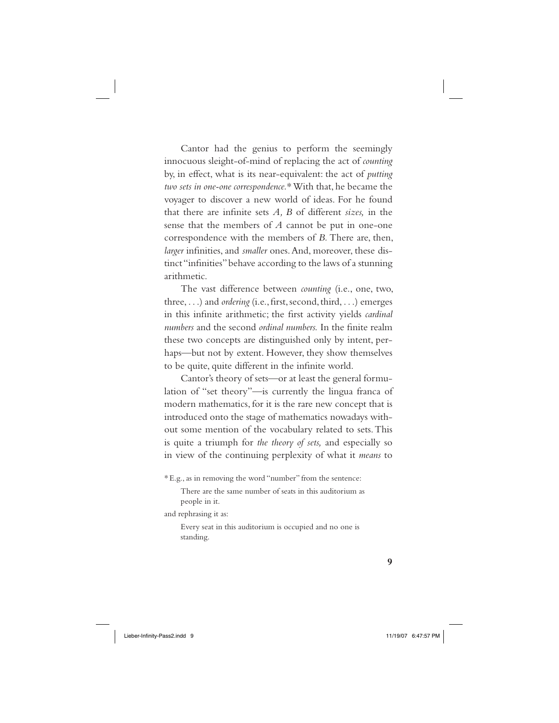Cantor had the genius to perform the seemingly innocuous sleight-of-mind of replacing the act of *counting* by, in effect, what is its near-equivalent: the act of *putting two sets in one-one correspondence.*\* With that, he became the voyager to discover a new world of ideas. For he found that there are infinite sets *A*, *B* of different *sizes*, in the sense that the members of *A* cannot be put in one-one correspondence with the members of *B.* There are, then, *larger* infinities, and *smaller* ones. And, moreover, these distinct "infinities" behave according to the laws of a stunning arithmetic.

 The vast difference between *counting* (i.e., one, two, three, ...) and *ordering* (i.e., first, second, third, ...) emerges in this infinite arithmetic; the first activity yields *cardinal numbers* and the second *ordinal numbers*. In the finite realm these two concepts are distinguished only by intent, perhaps—but not by extent. However, they show themselves to be quite, quite different in the infinite world.

 Cantor's theory of sets—or at least the general formulation of "set theory"—is currently the lingua franca of modern mathematics, for it is the rare new concept that is introduced onto the stage of mathematics nowadays without some mention of the vocabulary related to sets. This is quite a triumph for *the theory of sets,* and especially so in view of the continuing perplexity of what it *means* to

\* E.g., as in removing the word "number" from the sentence:

There are the same number of seats in this auditorium as people in it.

and rephrasing it as:

Every seat in this auditorium is occupied and no one is standing.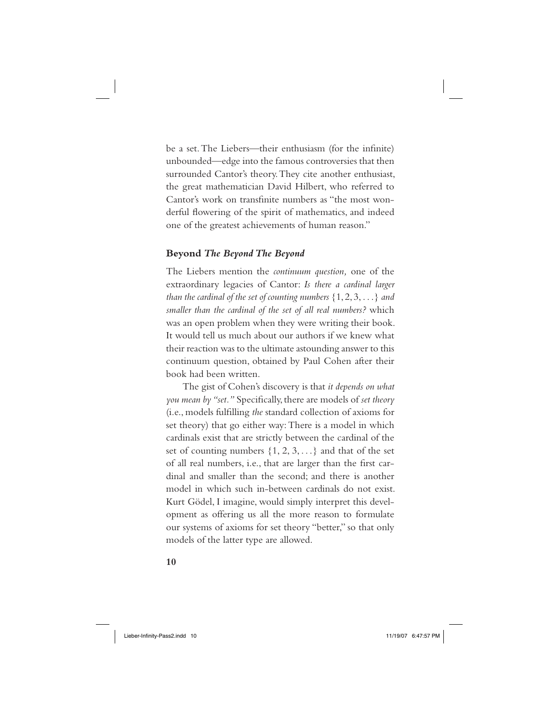be a set. The Liebers—their enthusiasm (for the infinite) unbounded—edge into the famous controversies that then surrounded Cantor's theory. They cite another enthusiast, the great mathematician David Hilbert, who referred to Cantor's work on transfinite numbers as "the most wonderful flowering of the spirit of mathematics, and indeed one of the greatest achievements of human reason."

#### **Beyond** *The Beyond The Beyond*

The Liebers mention the *continuum question,* one of the extraordinary legacies of Cantor: *Is there a cardinal larger than the cardinal of the set of counting numbers* {1, 2, 3, . . . } *and smaller than the cardinal of the set of all real numbers?* which was an open problem when they were writing their book. It would tell us much about our authors if we knew what their reaction was to the ultimate astounding answer to this continuum question, obtained by Paul Cohen after their book had been written.

 The gist of Cohen's discovery is that *it depends on what you mean by "set.*" Specifically, there are models of *set theory* (i.e., models fulfilling *the* standard collection of axioms for set theory) that go either way: There is a model in which cardinals exist that are strictly between the cardinal of the set of counting numbers  $\{1, 2, 3, \ldots\}$  and that of the set of all real numbers, i.e., that are larger than the first cardinal and smaller than the second; and there is another model in which such in-between cardinals do not exist. Kurt Gödel, I imagine, would simply interpret this development as offering us all the more reason to formulate our systems of axioms for set theory "better," so that only models of the latter type are allowed.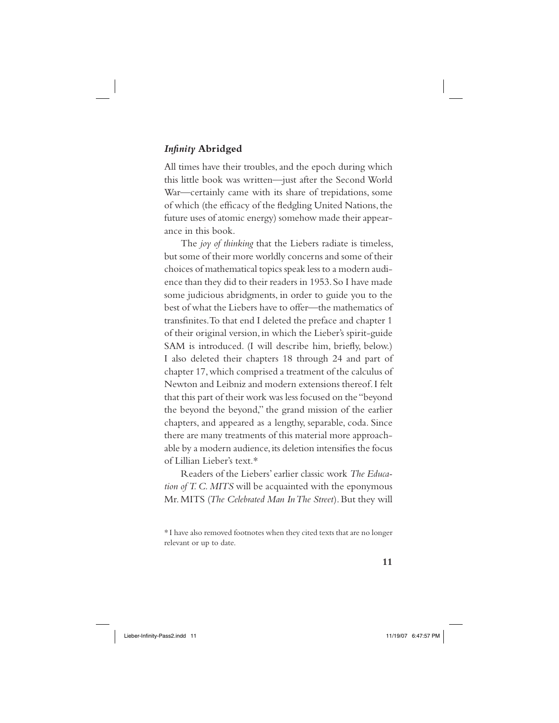#### **Infinity Abridged**

All times have their troubles, and the epoch during which this little book was written—just after the Second World War—certainly came with its share of trepidations, some of which (the efficacy of the fledgling United Nations, the future uses of atomic energy) somehow made their appearance in this book.

 The *joy of thinking* that the Liebers radiate is timeless, but some of their more worldly concerns and some of their choices of mathematical topics speak less to a modern audience than they did to their readers in 1953. So I have made some judicious abridgments, in order to guide you to the best of what the Liebers have to offer—the mathematics of transfinites. To that end I deleted the preface and chapter 1 of their original version, in which the Lieber's spirit-guide SAM is introduced. (I will describe him, briefly, below.) I also deleted their chapters 18 through 24 and part of chapter 17, which comprised a treatment of the calculus of Newton and Leibniz and modern extensions thereof. I felt that this part of their work was less focused on the "beyond the beyond the beyond," the grand mission of the earlier chapters, and appeared as a lengthy, separable, coda. Since there are many treatments of this material more approachable by a modern audience, its deletion intensifies the focus of Lillian Lieber's text.\*

 Readers of the Liebers' earlier classic work *The Education of T. C. MITS* will be acquainted with the eponymous Mr. MITS (*The Celebrated Man In The Street*). But they will

\* I have also removed footnotes when they cited texts that are no longer relevant or up to date.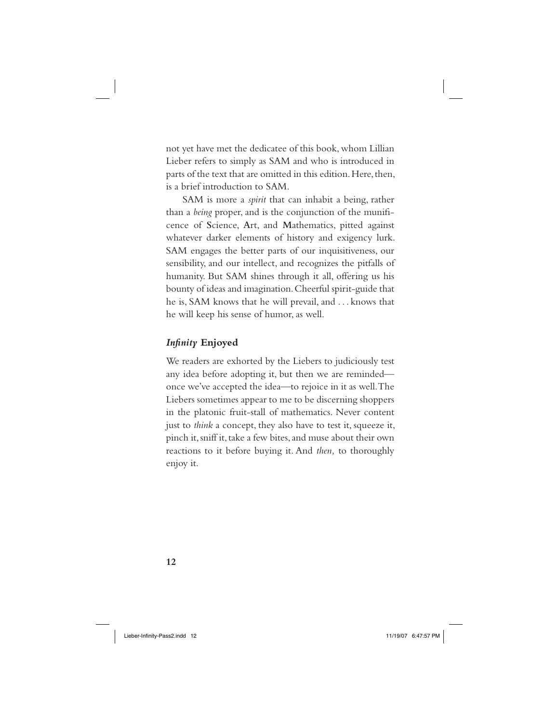not yet have met the dedicatee of this book, whom Lillian Lieber refers to simply as SAM and who is introduced in parts of the text that are omitted in this edition. Here, then, is a brief introduction to SAM.

 SAM is more a *spirit* that can inhabit a being, rather than a *being* proper, and is the conjunction of the munificence of **S**cience, **A**rt, and **M**athematics, pitted against whatever darker elements of history and exigency lurk. SAM engages the better parts of our inquisitiveness, our sensibility, and our intellect, and recognizes the pitfalls of humanity. But SAM shines through it all, offering us his bounty of ideas and imagination. Cheerful spirit-guide that he is, SAM knows that he will prevail, and . . . knows that he will keep his sense of humor, as well.

#### *Infinity* Enjoyed

We readers are exhorted by the Liebers to judiciously test any idea before adopting it, but then we are reminded once we've accepted the idea—to rejoice in it as well. The Liebers sometimes appear to me to be discerning shoppers in the platonic fruit-stall of mathematics. Never content just to *think* a concept, they also have to test it, squeeze it, pinch it, sniff it, take a few bites, and muse about their own reactions to it before buying it. And *then,* to thoroughly enjoy it.

**12**

Lieber-Infinity-Pass2.indd 12 ieber-Infinity-Pass2.indd 12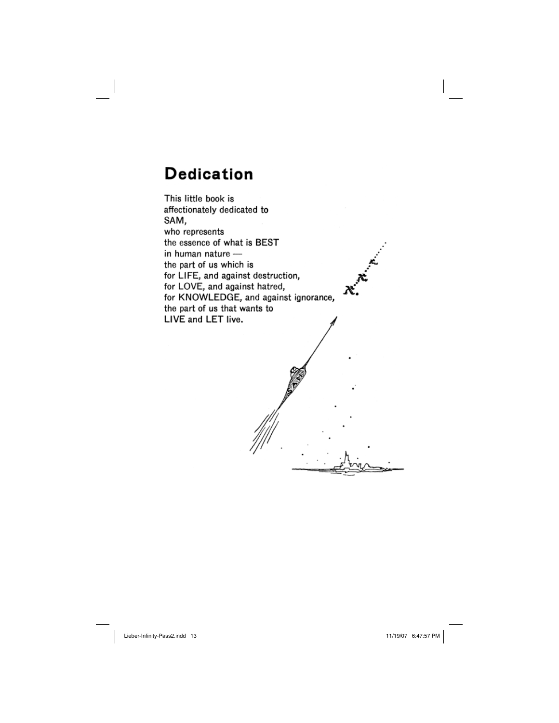## **Dedication**

This little book is affectionately dedicated to SAM, who represents the essence of what is BEST in human nature the part of us which is for LIFE, and against destruction, for LOVE, and against hatred, for KNOWLEDGE, and against ignorance, the part of us that wants to LIVE and LET live.

x.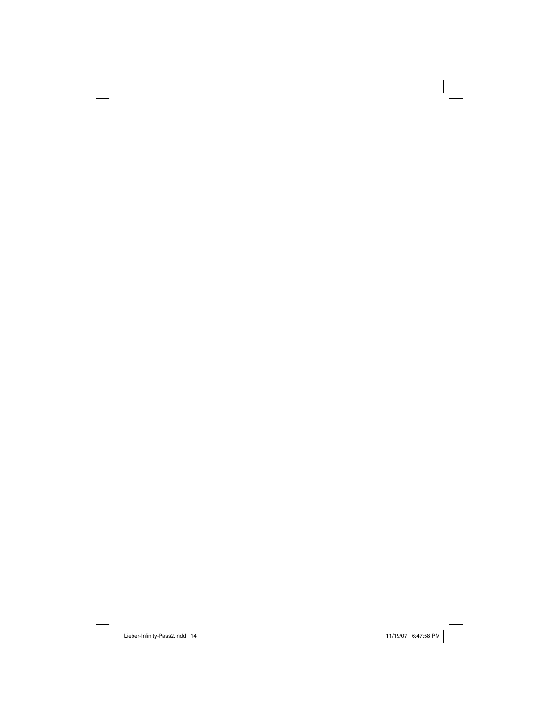——<br>
Lieber-Infinity-Pass2.indd 14 ieber-Infinity-Pass2.indd 14 in the set of the set of the set of the set of the set of the set of the set of the set of the set of the set of the set of the set of the set of the set of t

 $\frac{1}{2}$ 

 $\begin{array}{c} \rule{0pt}{2ex} \rule{0pt}{2ex} \rule{0pt}{2ex} \rule{0pt}{2ex} \rule{0pt}{2ex} \rule{0pt}{2ex} \rule{0pt}{2ex} \rule{0pt}{2ex} \rule{0pt}{2ex} \rule{0pt}{2ex} \rule{0pt}{2ex} \rule{0pt}{2ex} \rule{0pt}{2ex} \rule{0pt}{2ex} \rule{0pt}{2ex} \rule{0pt}{2ex} \rule{0pt}{2ex} \rule{0pt}{2ex} \rule{0pt}{2ex} \rule{0pt}{2ex} \rule{0pt}{2ex} \rule{0pt}{2ex} \rule{0pt}{2ex} \rule{0pt}{$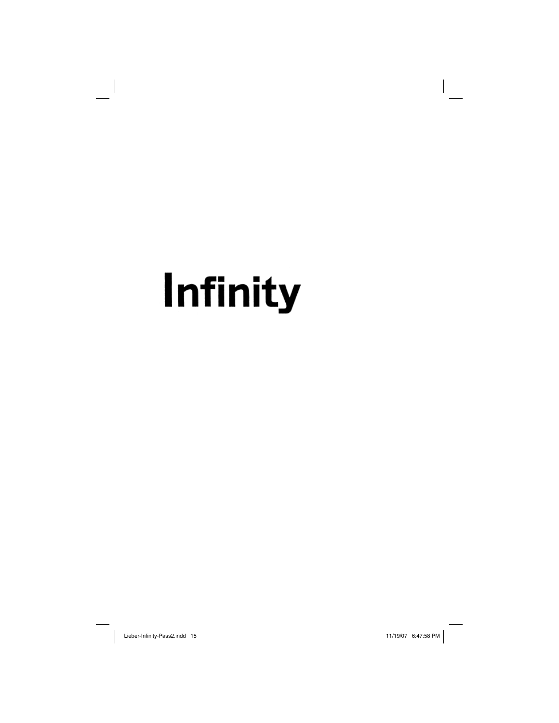# Infinity

Lieber-Infinity-Pass2.indd 15 **ieber-Infinity-Pass2.indd 15** ieber-1nfinity-Pass2.indd 15 **ieber-1nfinity-Pass2.indd 15** 

 $\mathcal{A}$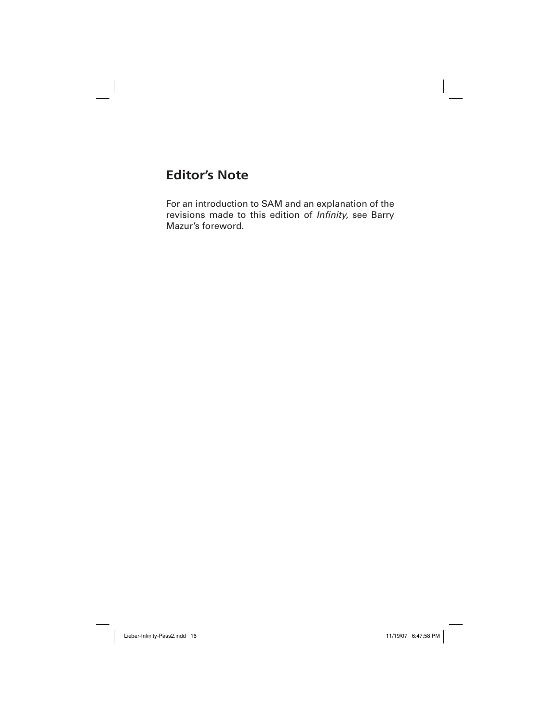### **Editor's Note**

For an introduction to SAM and an explanation of the revisions made to this edition of *Infinity*, see Barry Mazur's foreword.